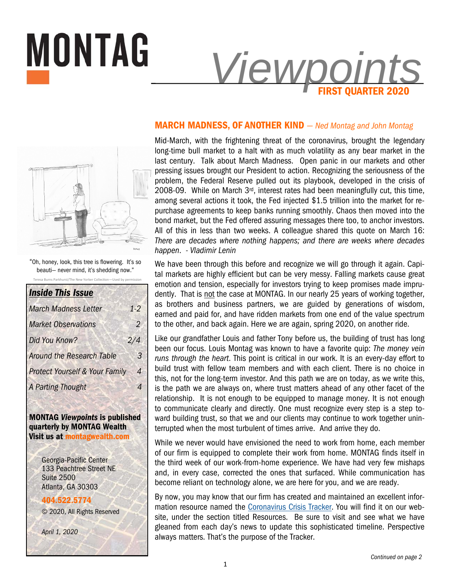

#### **MARCH MADNESS, OF ANOTHER KIND** *— Ned Montag and John Montag*



MONTAG

**Burns Parkhurst/The New Yorker Collection—Used by** "Oh, honey, look, this tree is flowering. It's so beauti— never mind, it's shedding now."

| <b>Inside This Issue</b>                  |                |
|-------------------------------------------|----------------|
| <b>March Madness Letter</b>               | $1 - 2$        |
| <b>Market Observations</b>                | $\overline{2}$ |
| Did You Know?                             | 2/4            |
| <b>Around the Research Table</b>          | 3              |
| <b>Protect Yourself &amp; Your Family</b> | 4              |
| A Parting Thought                         |                |
|                                           |                |

**MONTAG** *Viewpoints* **is published quarterly by MONTAG Wealth Visit us at montagwealth.com** 

> Georgia-Pacific Center 133 Peachtree Street NE Suite 2500 Atlanta, GA 30303

**404.522.5774** © 2020, All Rights Reserved

*April 1, 2020* 

Mid-March, with the frightening threat of the coronavirus, brought the legendary long-time bull market to a halt with as much volatility as any bear market in the last century. Talk about March Madness. Open panic in our markets and other pressing issues brought our President to action. Recognizing the seriousness of the problem, the Federal Reserve pulled out its playbook, developed in the crisis of 2008-09. While on March  $3<sup>rd</sup>$ , interest rates had been meaningfully cut, this time, among several actions it took, the Fed injected \$1.5 trillion into the market for repurchase agreements to keep banks running smoothly. Chaos then moved into the bond market, but the Fed offered assuring messages there too, to anchor investors. All of this in less than two weeks. A colleague shared this quote on March 16: *There are decades where nothing happens; and there are weeks where decades happen*. *- Vladimir Lenin*

We have been through this before and recognize we will go through it again. Capital markets are highly efficient but can be very messy. Falling markets cause great emotion and tension, especially for investors trying to keep promises made imprudently. That is not the case at MONTAG. In our nearly 25 years of working together, as brothers and business partners, we are guided by generations of wisdom, earned and paid for, and have ridden markets from one end of the value spectrum to the other, and back again. Here we are again, spring 2020, on another ride.

Like our grandfather Louis and father Tony before us, the building of trust has long been our focus. Louis Montag was known to have a favorite quip: *The money vein runs through the heart*. This point is critical in our work. It is an every-day effort to build trust with fellow team members and with each client. There is no choice in this, not for the long-term investor. And this path we are on today, as we write this, is the path we are always on, where trust matters ahead of any other facet of the relationship. It is not enough to be equipped to manage money. It is not enough to communicate clearly and directly. One must recognize every step is a step toward building trust, so that we and our clients may continue to work together uninterrupted when the most turbulent of times arrive. And arrive they do.

While we never would have envisioned the need to work from home, each member of our firm is equipped to complete their work from home. MONTAG finds itself in the third week of our work-from-home experience. We have had very few mishaps and, in every case, corrected the ones that surfaced. While communication has become reliant on technology alone, we are here for you, and we are ready.

By now, you may know that our firm has created and maintained an excellent information resource named the Coronavirus Crisis Tracker. You will find it on our website, under the section titled Resources. Be sure to visit and see what we have gleaned from each day's news to update this sophisticated timeline. Perspective always matters. That's the purpose of the Tracker.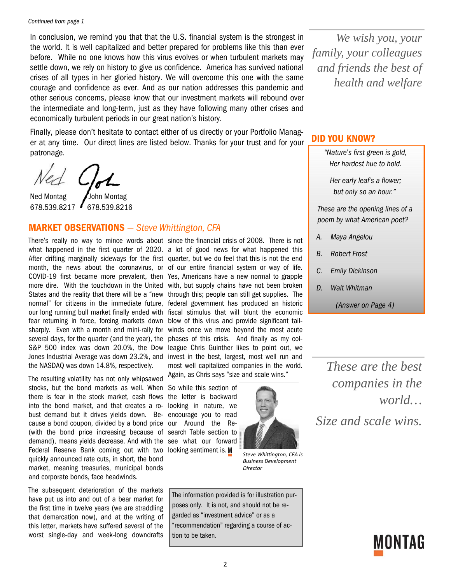In conclusion, we remind you that that the U.S. financial system is the strongest in the world. It is well capitalized and better prepared for problems like this than ever before. While no one knows how this virus evolves or when turbulent markets may settle down, we rely on history to give us confidence. America has survived national crises of all types in her gloried history. We will overcome this one with the same courage and confidence as ever. And as our nation addresses this pandemic and other serious concerns, please know that our investment markets will rebound over the intermediate and long-term, just as they have following many other crises and economically turbulent periods in our great nation's history.

Finally, please don't hesitate to contact either of us directly or your Portfolio Manager at any time. Our direct lines are listed below. Thanks for your trust and for your patronage.

Ned Montag / John Montag 678.539.8217 678.539.8216

#### **MARKET OBSERVATIONS** *— Steve Whittington, CFA*

fear returning in force, forcing markets down blow of this virus and provide significant tailseveral days, for the quarter (and the year), the S&P 500 index was down 20.0%, the Dow Jones Industrial Average was down 23.2%, and the NASDAQ was down 14.8%, respectively.

The resulting volatility has not only whipsawed stocks, but the bond markets as well. When So while this section of there is fear in the stock market, cash flows the letter is backward into the bond market, and that creates a ro-looking in nature, we bust demand but it drives yields down. Be-encourage you to read cause a bond coupon, divided by a bond price our Around the Re-(with the bond price increasing because of search Table section to demand), means yields decrease. And with the see what our forward Federal Reserve Bank coming out with two looking sentiment is. quickly announced rate cuts, in short, the bond market, meaning treasuries, municipal bonds and corporate bonds, face headwinds.

The subsequent deterioration of the markets have put us into and out of a bear market for the first time in twelve years (we are straddling that demarcation now), and at the writing of this letter, markets have suffered several of the worst single-day and week-long downdrafts

There's really no way to mince words about since the financial crisis of 2008. There is not what happened in the first quarter of 2020. a lot of good news for what happened this After drifting marginally sideways for the first quarter, but we do feel that this is not the end month, the news about the coronavirus, or of our entire financial system or way of life. COVID-19 first became more prevalent, then Yes, Americans have a new normal to grapple more dire. With the touchdown in the United with, but supply chains have not been broken States and the reality that there will be a "new through this; people can still get supplies. The normal" for citizens in the immediate future, federal government has produced an historic our long running bull market finally ended with fiscal stimulus that will blunt the economic sharply. Even with a month end mini-rally for winds once we move beyond the most acute phases of this crisis. And finally as my colleague Chris Guinther likes to point out, we invest in the best, largest, most well run and most well capitalized companies in the world. Again, as Chris says "size and scale wins."



*Steve Whiƫngton, CFA is Business Development Director* 

The information provided is for illustration purposes only. It is not, and should not be regarded as "investment advice" or as a "recommendation" regarding a course of action to be taken.

*We wish you, your family, your colleagues and friends the best of health and welfare* 

## **DID YOU KNOW?**

*"Nature's first green is gold, Her hardest hue to hold.* 

*Her early leaf's a flower; but only so an hour."* 

*These are the opening lines of a poem by what American poet?* 

- *A. Maya Angelou*
- *B. Robert Frost*
- *C. Emily Dickinson*
- *D. Walt Whitman*

*(Answer on Page 4)* 

*These are the best companies in the world… Size and scale wins.* 

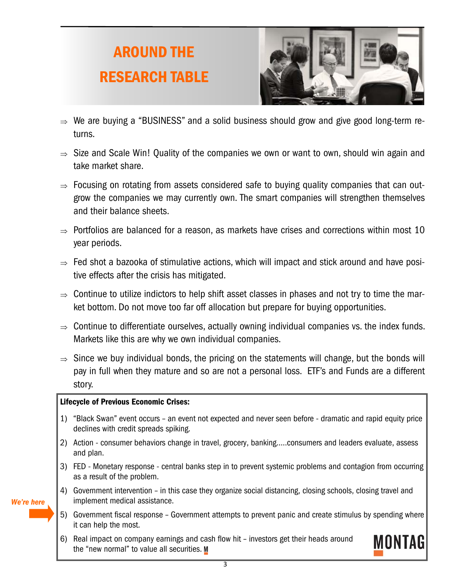# **AROUND THE RESEARCH TABLE**



- $\Rightarrow$  We are buying a "BUSINESS" and a solid business should grow and give good long-term returns.
- $\Rightarrow$  Size and Scale Win! Quality of the companies we own or want to own, should win again and take market share.
- $\Rightarrow$  Focusing on rotating from assets considered safe to buying quality companies that can outgrow the companies we may currently own. The smart companies will strengthen themselves and their balance sheets.
- $\Rightarrow$  Portfolios are balanced for a reason, as markets have crises and corrections within most 10 year periods.
- $\Rightarrow$  Fed shot a bazooka of stimulative actions, which will impact and stick around and have positive effects after the crisis has mitigated.
- $\Rightarrow$  Continue to utilize indictors to help shift asset classes in phases and not try to time the market bottom. Do not move too far off allocation but prepare for buying opportunities.
- $\Rightarrow$  Continue to differentiate ourselves, actually owning individual companies vs. the index funds. Markets like this are why we own individual companies.
- $\Rightarrow$  Since we buy individual bonds, the pricing on the statements will change, but the bonds will pay in full when they mature and so are not a personal loss. ETF's and Funds are a different story.

#### **Lifecycle of Previous Economic Crises:**

- 1) "Black Swan" event occurs an event not expected and never seen before dramatic and rapid equity price declines with credit spreads spiking.
- 2) Action consumer behaviors change in travel, grocery, banking…..consumers and leaders evaluate, assess and plan.
- 3) FED Monetary response central banks step in to prevent systemic problems and contagion from occurring as a result of the problem.
- 4) Government intervention in this case they organize social distancing, closing schools, closing travel and implement medical assistance.
- 5) Government fiscal response Government attempts to prevent panic and create stimulus by spending where it can help the most.
- 6) Real impact on company earnings and cash flow hit investors get their heads around the "new normal" to value all securities. M



*We're here*